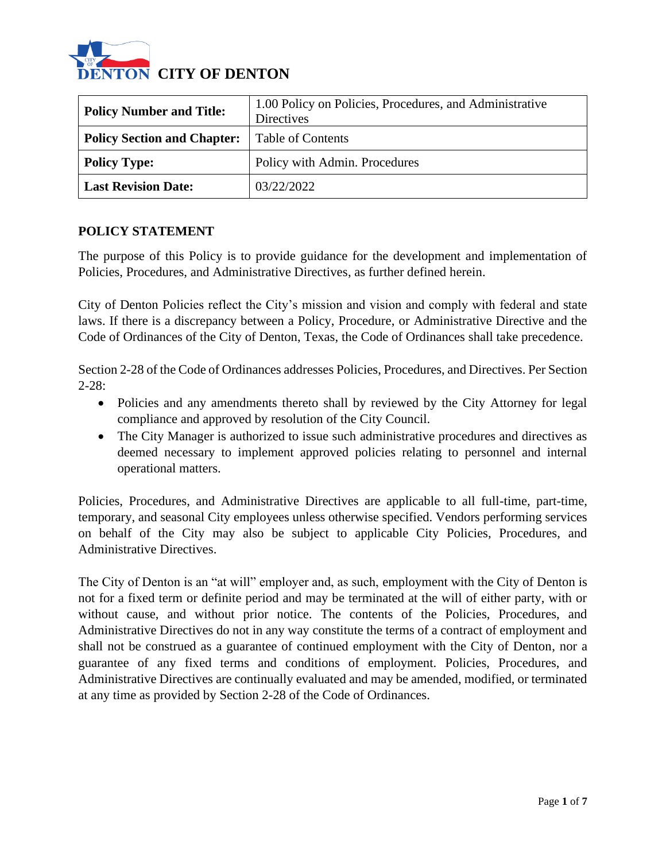

| <b>Policy Number and Title:</b>    | 1.00 Policy on Policies, Procedures, and Administrative<br><b>Directives</b> |
|------------------------------------|------------------------------------------------------------------------------|
| <b>Policy Section and Chapter:</b> | <b>Table of Contents</b>                                                     |
| <b>Policy Type:</b>                | Policy with Admin. Procedures                                                |
| <b>Last Revision Date:</b>         | 03/22/2022                                                                   |

### **POLICY STATEMENT**

The purpose of this Policy is to provide guidance for the development and implementation of Policies, Procedures, and Administrative Directives, as further defined herein.

City of Denton Policies reflect the City's mission and vision and comply with federal and state laws. If there is a discrepancy between a Policy, Procedure, or Administrative Directive and the Code of Ordinances of the City of Denton, Texas, the Code of Ordinances shall take precedence.

Section 2-28 of the Code of Ordinances addresses Policies, Procedures, and Directives. Per Section  $2 - 28$ 

- Policies and any amendments thereto shall by reviewed by the City Attorney for legal compliance and approved by resolution of the City Council.
- The City Manager is authorized to issue such administrative procedures and directives as deemed necessary to implement approved policies relating to personnel and internal operational matters.

Policies, Procedures, and Administrative Directives are applicable to all full-time, part-time, temporary, and seasonal City employees unless otherwise specified. Vendors performing services on behalf of the City may also be subject to applicable City Policies, Procedures, and Administrative Directives.

The City of Denton is an "at will" employer and, as such, employment with the City of Denton is not for a fixed term or definite period and may be terminated at the will of either party, with or without cause, and without prior notice. The contents of the Policies, Procedures, and Administrative Directives do not in any way constitute the terms of a contract of employment and shall not be construed as a guarantee of continued employment with the City of Denton, nor a guarantee of any fixed terms and conditions of employment. Policies, Procedures, and Administrative Directives are continually evaluated and may be amended, modified, or terminated at any time as provided by Section 2-28 of the Code of Ordinances.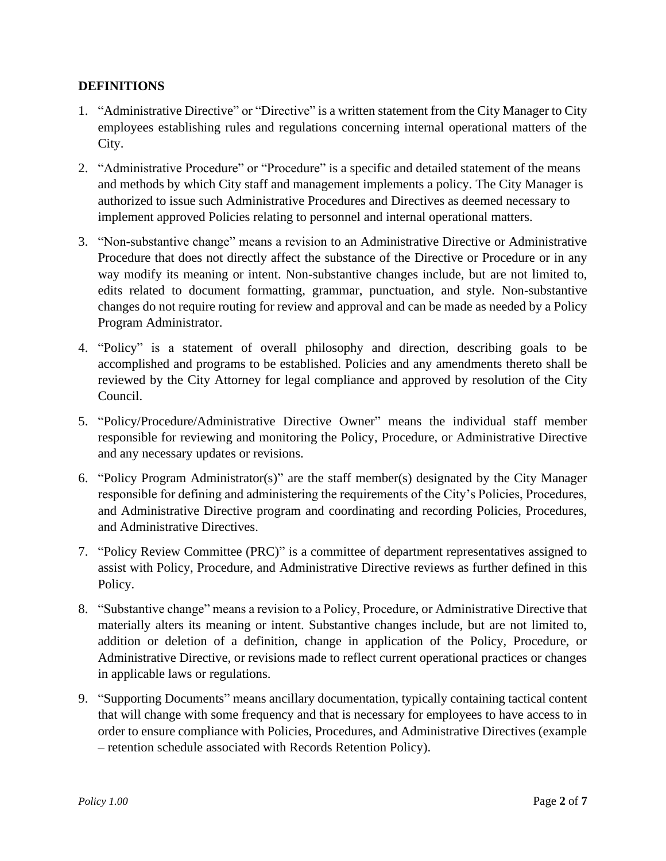# **DEFINITIONS**

- 1. "Administrative Directive" or "Directive" is a written statement from the City Manager to City employees establishing rules and regulations concerning internal operational matters of the City.
- 2. "Administrative Procedure" or "Procedure" is a specific and detailed statement of the means and methods by which City staff and management implements a policy. The City Manager is authorized to issue such Administrative Procedures and Directives as deemed necessary to implement approved Policies relating to personnel and internal operational matters.
- 3. "Non-substantive change" means a revision to an Administrative Directive or Administrative Procedure that does not directly affect the substance of the Directive or Procedure or in any way modify its meaning or intent. Non-substantive changes include, but are not limited to, edits related to document formatting, grammar, punctuation, and style. Non-substantive changes do not require routing for review and approval and can be made as needed by a Policy Program Administrator.
- 4. "Policy" is a statement of overall philosophy and direction, describing goals to be accomplished and programs to be established. Policies and any amendments thereto shall be reviewed by the City Attorney for legal compliance and approved by resolution of the City Council.
- 5. "Policy/Procedure/Administrative Directive Owner" means the individual staff member responsible for reviewing and monitoring the Policy, Procedure, or Administrative Directive and any necessary updates or revisions.
- 6. "Policy Program Administrator(s)" are the staff member(s) designated by the City Manager responsible for defining and administering the requirements of the City's Policies, Procedures, and Administrative Directive program and coordinating and recording Policies, Procedures, and Administrative Directives.
- 7. "Policy Review Committee (PRC)" is a committee of department representatives assigned to assist with Policy, Procedure, and Administrative Directive reviews as further defined in this Policy.
- 8. "Substantive change" means a revision to a Policy, Procedure, or Administrative Directive that materially alters its meaning or intent. Substantive changes include, but are not limited to, addition or deletion of a definition, change in application of the Policy, Procedure, or Administrative Directive, or revisions made to reflect current operational practices or changes in applicable laws or regulations.
- 9. "Supporting Documents" means ancillary documentation, typically containing tactical content that will change with some frequency and that is necessary for employees to have access to in order to ensure compliance with Policies, Procedures, and Administrative Directives (example – retention schedule associated with Records Retention Policy).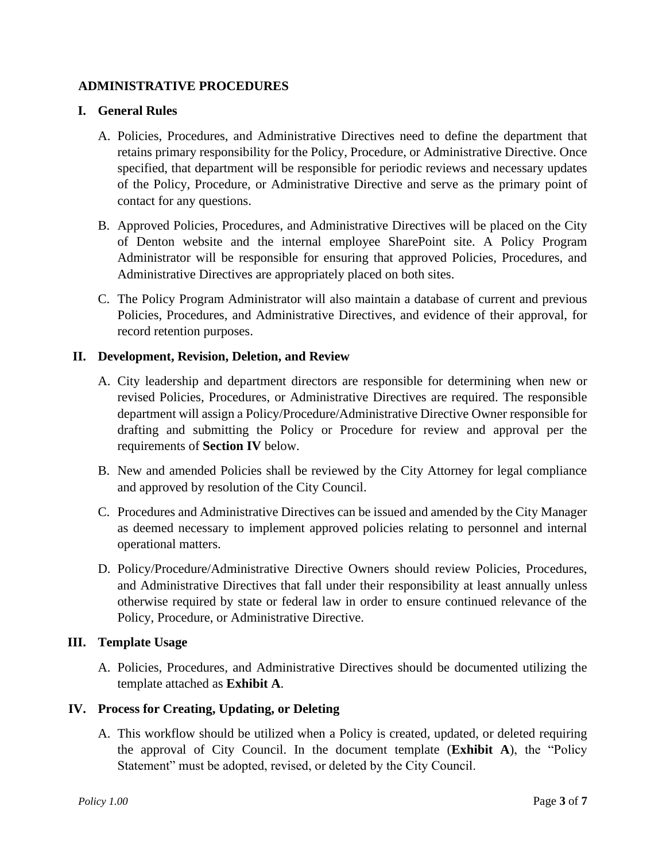### **ADMINISTRATIVE PROCEDURES**

### **I. General Rules**

- A. Policies, Procedures, and Administrative Directives need to define the department that retains primary responsibility for the Policy, Procedure, or Administrative Directive. Once specified, that department will be responsible for periodic reviews and necessary updates of the Policy, Procedure, or Administrative Directive and serve as the primary point of contact for any questions.
- B. Approved Policies, Procedures, and Administrative Directives will be placed on the City of Denton website and the internal employee SharePoint site. A Policy Program Administrator will be responsible for ensuring that approved Policies, Procedures, and Administrative Directives are appropriately placed on both sites.
- C. The Policy Program Administrator will also maintain a database of current and previous Policies, Procedures, and Administrative Directives, and evidence of their approval, for record retention purposes.

### **II. Development, Revision, Deletion, and Review**

- A. City leadership and department directors are responsible for determining when new or revised Policies, Procedures, or Administrative Directives are required. The responsible department will assign a Policy/Procedure/Administrative Directive Owner responsible for drafting and submitting the Policy or Procedure for review and approval per the requirements of **Section IV** below.
- B. New and amended Policies shall be reviewed by the City Attorney for legal compliance and approved by resolution of the City Council.
- C. Procedures and Administrative Directives can be issued and amended by the City Manager as deemed necessary to implement approved policies relating to personnel and internal operational matters.
- D. Policy/Procedure/Administrative Directive Owners should review Policies, Procedures, and Administrative Directives that fall under their responsibility at least annually unless otherwise required by state or federal law in order to ensure continued relevance of the Policy, Procedure, or Administrative Directive.

# **III. Template Usage**

A. Policies, Procedures, and Administrative Directives should be documented utilizing the template attached as **Exhibit A**.

# **IV. Process for Creating, Updating, or Deleting**

A. This workflow should be utilized when a Policy is created, updated, or deleted requiring the approval of City Council. In the document template (**Exhibit A**), the "Policy Statement" must be adopted, revised, or deleted by the City Council.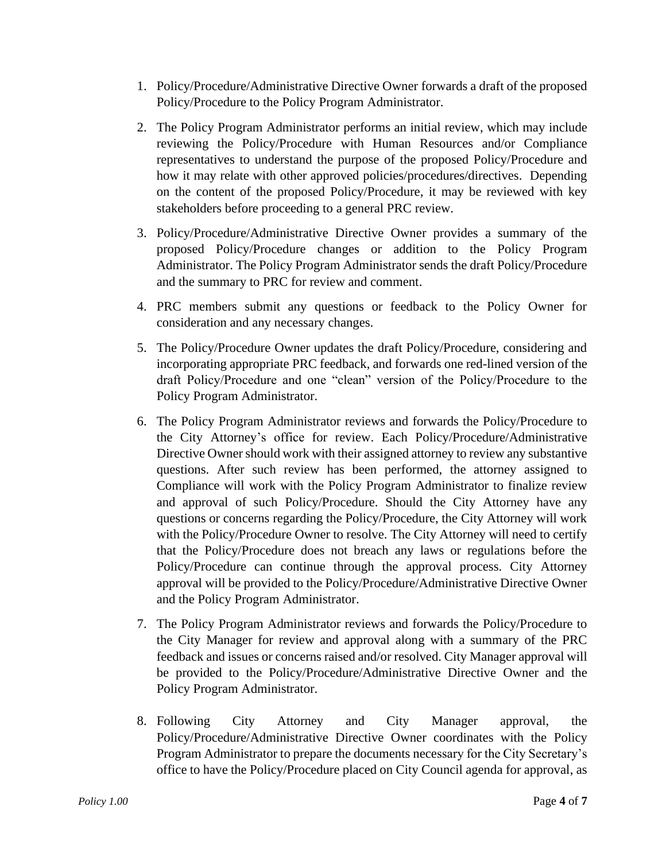- 1. Policy/Procedure/Administrative Directive Owner forwards a draft of the proposed Policy/Procedure to the Policy Program Administrator.
- 2. The Policy Program Administrator performs an initial review, which may include reviewing the Policy/Procedure with Human Resources and/or Compliance representatives to understand the purpose of the proposed Policy/Procedure and how it may relate with other approved policies/procedures/directives. Depending on the content of the proposed Policy/Procedure, it may be reviewed with key stakeholders before proceeding to a general PRC review.
- 3. Policy/Procedure/Administrative Directive Owner provides a summary of the proposed Policy/Procedure changes or addition to the Policy Program Administrator. The Policy Program Administrator sends the draft Policy/Procedure and the summary to PRC for review and comment.
- 4. PRC members submit any questions or feedback to the Policy Owner for consideration and any necessary changes.
- 5. The Policy/Procedure Owner updates the draft Policy/Procedure, considering and incorporating appropriate PRC feedback, and forwards one red-lined version of the draft Policy/Procedure and one "clean" version of the Policy/Procedure to the Policy Program Administrator.
- 6. The Policy Program Administrator reviews and forwards the Policy/Procedure to the City Attorney's office for review. Each Policy/Procedure/Administrative Directive Owner should work with their assigned attorney to review any substantive questions. After such review has been performed, the attorney assigned to Compliance will work with the Policy Program Administrator to finalize review and approval of such Policy/Procedure. Should the City Attorney have any questions or concerns regarding the Policy/Procedure, the City Attorney will work with the Policy/Procedure Owner to resolve. The City Attorney will need to certify that the Policy/Procedure does not breach any laws or regulations before the Policy/Procedure can continue through the approval process. City Attorney approval will be provided to the Policy/Procedure/Administrative Directive Owner and the Policy Program Administrator.
- 7. The Policy Program Administrator reviews and forwards the Policy/Procedure to the City Manager for review and approval along with a summary of the PRC feedback and issues or concerns raised and/or resolved. City Manager approval will be provided to the Policy/Procedure/Administrative Directive Owner and the Policy Program Administrator.
- 8. Following City Attorney and City Manager approval, the Policy/Procedure/Administrative Directive Owner coordinates with the Policy Program Administrator to prepare the documents necessary for the City Secretary's office to have the Policy/Procedure placed on City Council agenda for approval, as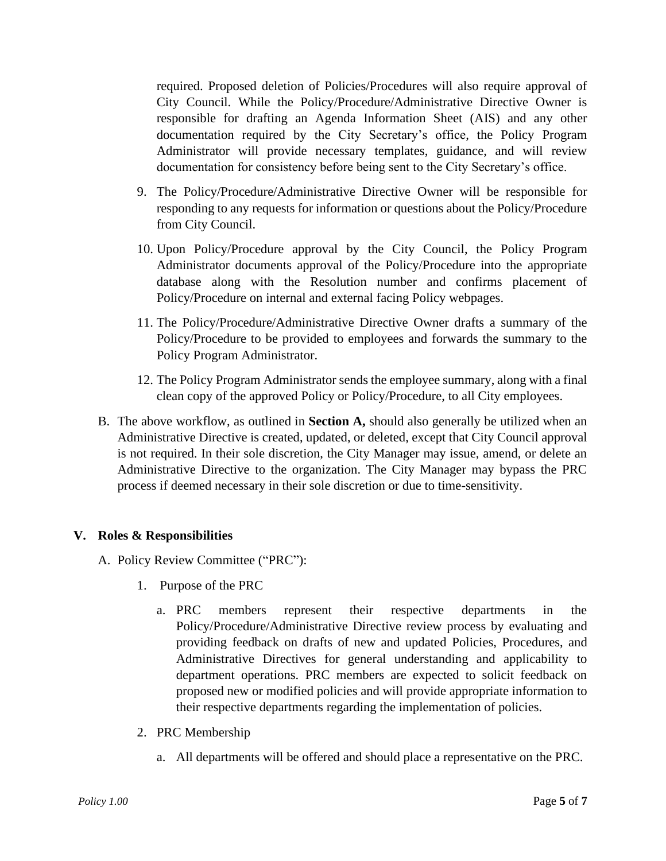required. Proposed deletion of Policies/Procedures will also require approval of City Council. While the Policy/Procedure/Administrative Directive Owner is responsible for drafting an Agenda Information Sheet (AIS) and any other documentation required by the City Secretary's office, the Policy Program Administrator will provide necessary templates, guidance, and will review documentation for consistency before being sent to the City Secretary's office.

- 9. The Policy/Procedure/Administrative Directive Owner will be responsible for responding to any requests for information or questions about the Policy/Procedure from City Council.
- 10. Upon Policy/Procedure approval by the City Council, the Policy Program Administrator documents approval of the Policy/Procedure into the appropriate database along with the Resolution number and confirms placement of Policy/Procedure on internal and external facing Policy webpages.
- 11. The Policy/Procedure/Administrative Directive Owner drafts a summary of the Policy/Procedure to be provided to employees and forwards the summary to the Policy Program Administrator.
- 12. The Policy Program Administrator sends the employee summary, along with a final clean copy of the approved Policy or Policy/Procedure, to all City employees.
- B. The above workflow, as outlined in **Section A,** should also generally be utilized when an Administrative Directive is created, updated, or deleted, except that City Council approval is not required. In their sole discretion, the City Manager may issue, amend, or delete an Administrative Directive to the organization. The City Manager may bypass the PRC process if deemed necessary in their sole discretion or due to time-sensitivity.

# **V. Roles & Responsibilities**

- A. Policy Review Committee ("PRC"):
	- 1. Purpose of the PRC
		- a. PRC members represent their respective departments in the Policy/Procedure/Administrative Directive review process by evaluating and providing feedback on drafts of new and updated Policies, Procedures, and Administrative Directives for general understanding and applicability to department operations. PRC members are expected to solicit feedback on proposed new or modified policies and will provide appropriate information to their respective departments regarding the implementation of policies.
	- 2. PRC Membership
		- a. All departments will be offered and should place a representative on the PRC.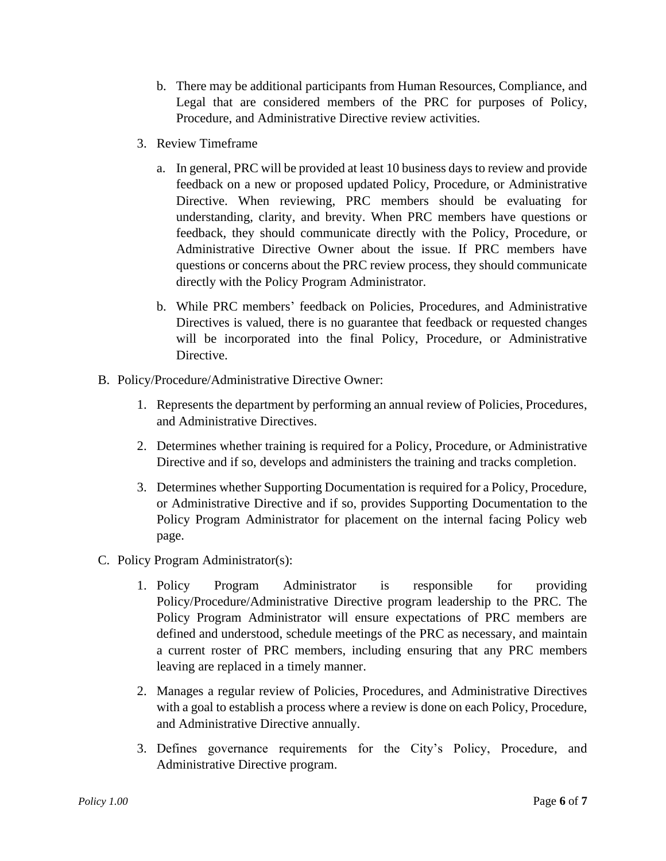- b. There may be additional participants from Human Resources, Compliance, and Legal that are considered members of the PRC for purposes of Policy, Procedure, and Administrative Directive review activities.
- 3. Review Timeframe
	- a. In general, PRC will be provided at least 10 business days to review and provide feedback on a new or proposed updated Policy, Procedure, or Administrative Directive. When reviewing, PRC members should be evaluating for understanding, clarity, and brevity. When PRC members have questions or feedback, they should communicate directly with the Policy, Procedure, or Administrative Directive Owner about the issue. If PRC members have questions or concerns about the PRC review process, they should communicate directly with the Policy Program Administrator.
	- b. While PRC members' feedback on Policies, Procedures, and Administrative Directives is valued, there is no guarantee that feedback or requested changes will be incorporated into the final Policy, Procedure, or Administrative Directive.
- B. Policy/Procedure/Administrative Directive Owner:
	- 1. Represents the department by performing an annual review of Policies, Procedures, and Administrative Directives.
	- 2. Determines whether training is required for a Policy, Procedure, or Administrative Directive and if so, develops and administers the training and tracks completion.
	- 3. Determines whether Supporting Documentation is required for a Policy, Procedure, or Administrative Directive and if so, provides Supporting Documentation to the Policy Program Administrator for placement on the internal facing Policy web page.
- C. Policy Program Administrator(s):
	- 1. Policy Program Administrator is responsible for providing Policy/Procedure/Administrative Directive program leadership to the PRC. The Policy Program Administrator will ensure expectations of PRC members are defined and understood, schedule meetings of the PRC as necessary, and maintain a current roster of PRC members, including ensuring that any PRC members leaving are replaced in a timely manner.
	- 2. Manages a regular review of Policies, Procedures, and Administrative Directives with a goal to establish a process where a review is done on each Policy, Procedure, and Administrative Directive annually.
	- 3. Defines governance requirements for the City's Policy, Procedure, and Administrative Directive program.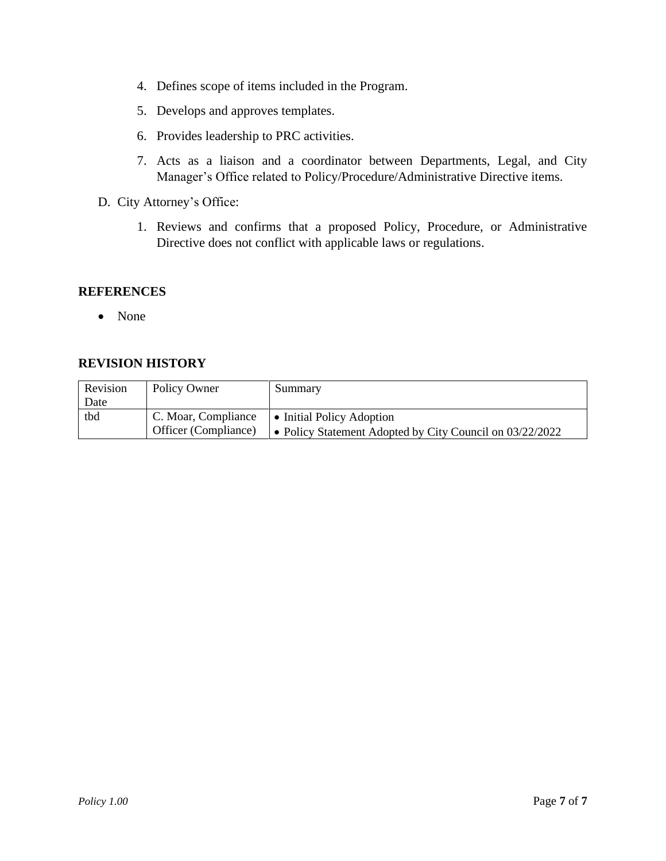- 4. Defines scope of items included in the Program.
- 5. Develops and approves templates.
- 6. Provides leadership to PRC activities.
- 7. Acts as a liaison and a coordinator between Departments, Legal, and City Manager's Office related to Policy/Procedure/Administrative Directive items.
- D. City Attorney's Office:
	- 1. Reviews and confirms that a proposed Policy, Procedure, or Administrative Directive does not conflict with applicable laws or regulations.

#### **REFERENCES**

• None

# **REVISION HISTORY**

| Revision | Policy Owner         | Summary                                                  |
|----------|----------------------|----------------------------------------------------------|
| Date     |                      |                                                          |
| tbd      | C. Moar, Compliance  | • Initial Policy Adoption                                |
|          | Officer (Compliance) | • Policy Statement Adopted by City Council on 03/22/2022 |